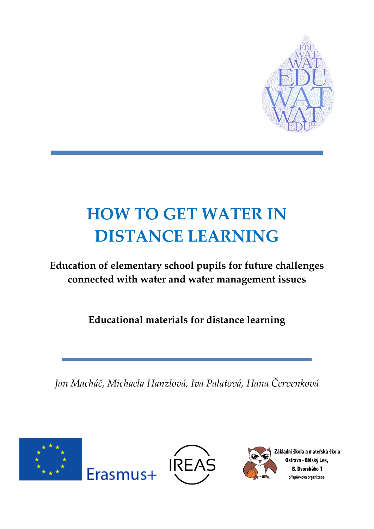

# **HOW TO GET WATER IN DISTANCE LEARNING**

**Education of elementary school pupils for future challenges connected with water and water management issues**

**Educational materials for distance learning**

*Jan Macháč, Michaela Hanzlová, Iva Palatová, Hana Červenková*





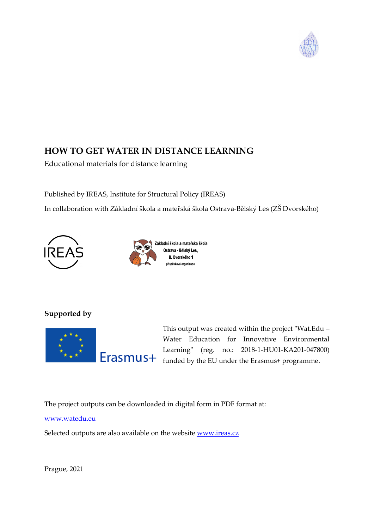

# **HOW TO GET WATER IN DISTANCE LEARNING**

Educational materials for distance learning

Published by IREAS, Institute for Structural Policy (IREAS)

In collaboration with Základní škola a mateřská škola Ostrava-Bělský Les (ZŠ Dvorského)





# **Supported by**



This output was created within the project "Wat.Edu – Water Education for Innovative Environmental Learning" (reg. no.: 2018-1-HU01-KA201-047800) Erasmus+ funded by the EU under the Erasmus+ programme.

The project outputs can be downloaded in digital form in PDF format at:

[www.watedu.eu](http://www.watedu.eu/)

Selected outputs are also available on the website **www.ireas.cz** 

Prague, 2021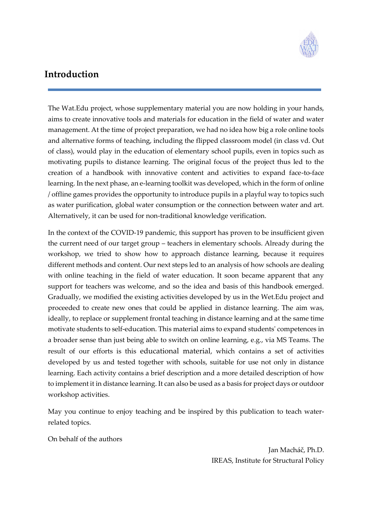

# <span id="page-2-0"></span>**Introduction**

The Wat.Edu project, whose supplementary material you are now holding in your hands, aims to create innovative tools and materials for education in the field of water and water management. At the time of project preparation, we had no idea how big a role online tools and alternative forms of teaching, including the flipped classroom model (in class vd. Out of class), would play in the education of elementary school pupils, even in topics such as motivating pupils to distance learning. The original focus of the project thus led to the creation of a handbook with innovative content and activities to expand face-to-face learning. In the next phase, an e-learning toolkit was developed, which in the form of online / offline games provides the opportunity to introduce pupils in a playful way to topics such as water purification, global water consumption or the connection between water and art. Alternatively, it can be used for non-traditional knowledge verification.

In the context of the COVID-19 pandemic, this support has proven to be insufficient given the current need of our target group – teachers in elementary schools. Already during the workshop, we tried to show how to approach distance learning, because it requires different methods and content. Our next steps led to an analysis of how schools are dealing with online teaching in the field of water education. It soon became apparent that any support for teachers was welcome, and so the idea and basis of this handbook emerged. Gradually, we modified the existing activities developed by us in the Wet.Edu project and proceeded to create new ones that could be applied in distance learning. The aim was, ideally, to replace or supplement frontal teaching in distance learning and at the same time motivate students to self-education. This material aims to expand students' competences in a broader sense than just being able to switch on online learning, e.g., via MS Teams. The result of our efforts is this educational material, which contains a set of activities developed by us and tested together with schools, suitable for use not only in distance learning. Each activity contains a brief description and a more detailed description of how to implement it in distance learning. It can also be used as a basis for project days or outdoor workshop activities.

May you continue to enjoy teaching and be inspired by this publication to teach waterrelated topics.

On behalf of the authors

Jan Macháč, Ph.D. IREAS, Institute for Structural Policy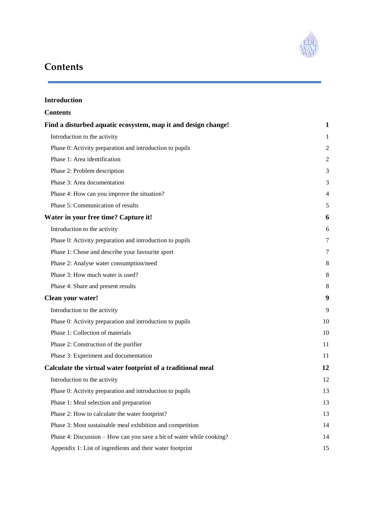

# <span id="page-3-0"></span>**Contents**

| <b>Introduction</b>                                                  |                |
|----------------------------------------------------------------------|----------------|
| <b>Contents</b>                                                      |                |
| Find a disturbed aquatic ecosystem, map it and design change!        | 1              |
| Introduction to the activity                                         | 1              |
| Phase 0: Activity preparation and introduction to pupils             | $\overline{c}$ |
| Phase 1: Area identification                                         | 2              |
| Phase 2: Problem description                                         | 3              |
| Phase 3: Area documentation                                          | 3              |
| Phase 4: How can you improve the situation?                          | 4              |
| Phase 5: Communication of results                                    | 5              |
| Water in your free time? Capture it!                                 | 6              |
| Introduction to the activity                                         | 6              |
| Phase 0: Activity preparation and introduction to pupils             | 7              |
| Phase 1: Chose and describe your favourite sport                     |                |
| Phase 2: Analyse water consumption/need                              |                |
| Phase 3: How much water is used?                                     | 8              |
| Phase 4: Share and present results                                   | 8              |
| Clean your water!                                                    | 9              |
| Introduction to the activity                                         | 9              |
| Phase 0: Activity preparation and introduction to pupils             | 10             |
| Phase 1: Collection of materials                                     | 10             |
| Phase 2: Construction of the purifier                                | 11             |
| Phase 3: Experiment and documentation                                | 11             |
| Calculate the virtual water footprint of a traditional meal          | 12             |
| Introduction to the activity                                         | 12             |
| Phase 0: Activity preparation and introduction to pupils             | 13             |
| Phase 1: Meal selection and preparation                              | 13             |
| Phase 2: How to calculate the water footprint?                       | 13             |
| Phase 3: Most sustainable meal exhibition and competition            | 14             |
| Phase 4: Discussion – How can you save a bit of water while cooking? | 14             |
| Appendix 1: List of ingredients and their water footprint            | 15             |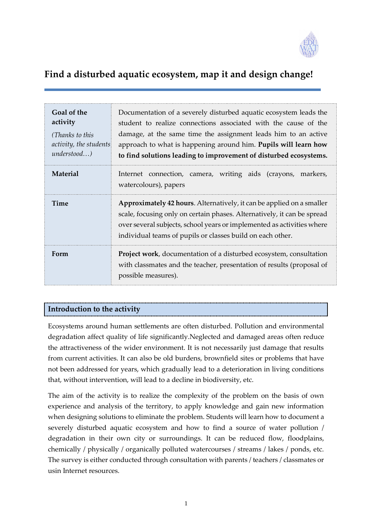

# <span id="page-4-0"></span>**Find a disturbed aquatic ecosystem, map it and design change!**

| Goal of the<br>activity<br>(Thanks to this<br>activity, the students<br>understood | Documentation of a severely disturbed aquatic ecosystem leads the<br>student to realize connections associated with the cause of the<br>damage, at the same time the assignment leads him to an active<br>approach to what is happening around him. Pupils will learn how<br>to find solutions leading to improvement of disturbed ecosystems. |  |
|------------------------------------------------------------------------------------|------------------------------------------------------------------------------------------------------------------------------------------------------------------------------------------------------------------------------------------------------------------------------------------------------------------------------------------------|--|
| <b>Material</b>                                                                    | Internet connection, camera, writing aids (crayons, markers,<br>watercolours), papers                                                                                                                                                                                                                                                          |  |
| <b>Time</b>                                                                        | Approximately 42 hours. Alternatively, it can be applied on a smaller<br>scale, focusing only on certain phases. Alternatively, it can be spread<br>over several subjects, school years or implemented as activities where<br>individual teams of pupils or classes build on each other.                                                       |  |
| Form                                                                               | <b>Project work</b> , documentation of a disturbed ecosystem, consultation<br>with classmates and the teacher, presentation of results (proposal of<br>possible measures).                                                                                                                                                                     |  |

## <span id="page-4-1"></span>**Introduction to the activity**

Ecosystems around human settlements are often disturbed. Pollution and environmental degradation affect quality of life significantly.Neglected and damaged areas often reduce the attractiveness of the wider environment. It is not necessarily just damage that results from current activities. It can also be old burdens, brownfield sites or problems that have not been addressed for years, which gradually lead to a deterioration in living conditions that, without intervention, will lead to a decline in biodiversity, etc.

The aim of the activity is to realize the complexity of the problem on the basis of own experience and analysis of the territory, to apply knowledge and gain new information when designing solutions to eliminate the problem. Students will learn how to document a severely disturbed aquatic ecosystem and how to find a source of water pollution / degradation in their own city or surroundings. It can be reduced flow, floodplains, chemically / physically / organically polluted watercourses / streams / lakes / ponds, etc. The survey is either conducted through consultation with parents / teachers / classmates or usin Internet resources.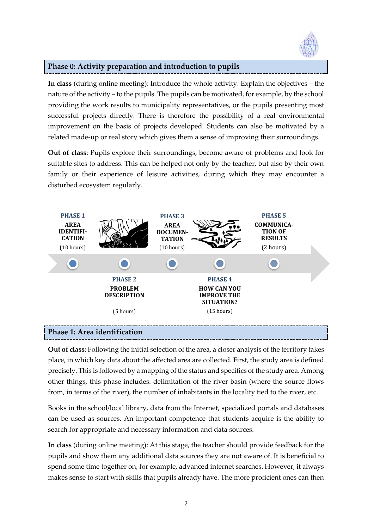

<span id="page-5-0"></span>**In class** (during online meeting): Introduce the whole activity. Explain the objectives – the nature of the activity – to the pupils. The pupils can be motivated, for example, by the school providing the work results to municipality representatives, or the pupils presenting most successful projects directly. There is therefore the possibility of a real environmental improvement on the basis of projects developed. Students can also be motivated by a related made-up or real story which gives them a sense of improving their surroundings.

**Out of class**: Pupils explore their surroundings, become aware of problems and look for suitable sites to address. This can be helped not only by the teacher, but also by their own family or their experience of leisure activities, during which they may encounter a disturbed ecosystem regularly.



#### <span id="page-5-1"></span>**Phase 1: Area identification**

**Out of class**: Following the initial selection of the area, a closer analysis of the territory takes place, in which key data about the affected area are collected. First, the study area is defined precisely. This is followed by a mapping of the status and specifics of the study area. Among other things, this phase includes: delimitation of the river basin (where the source flows from, in terms of the river), the number of inhabitants in the locality tied to the river, etc.

Books in the school/local library, data from the Internet, specialized portals and databases can be used as sources. An important competence that students acquire is the ability to search for appropriate and necessary information and data sources.

**In class** (during online meeting): At this stage, the teacher should provide feedback for the pupils and show them any additional data sources they are not aware of. It is beneficial to spend some time together on, for example, advanced internet searches. However, it always makes sense to start with skills that pupils already have. The more proficient ones can then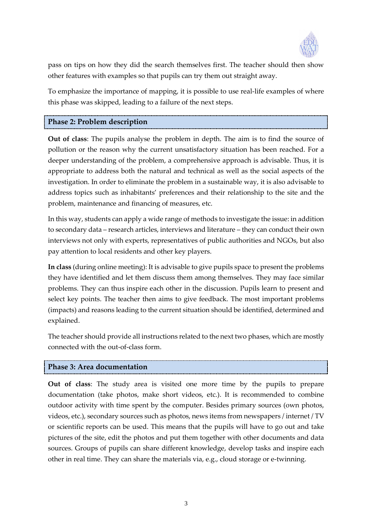

pass on tips on how they did the search themselves first. The teacher should then show other features with examples so that pupils can try them out straight away.

To emphasize the importance of mapping, it is possible to use real-life examples of where this phase was skipped, leading to a failure of the next steps.

#### <span id="page-6-0"></span>**Phase 2: Problem description**

**Out of class**: The pupils analyse the problem in depth. The aim is to find the source of pollution or the reason why the current unsatisfactory situation has been reached. For a deeper understanding of the problem, a comprehensive approach is advisable. Thus, it is appropriate to address both the natural and technical as well as the social aspects of the investigation. In order to eliminate the problem in a sustainable way, it is also advisable to address topics such as inhabitants' preferences and their relationship to the site and the problem, maintenance and financing of measures, etc.

In this way, students can apply a wide range of methods to investigate the issue: in addition to secondary data – research articles, interviews and literature – they can conduct their own interviews not only with experts, representatives of public authorities and NGOs, but also pay attention to local residents and other key players.

**In class** (during online meeting): It is advisable to give pupils space to present the problems they have identified and let them discuss them among themselves. They may face similar problems. They can thus inspire each other in the discussion. Pupils learn to present and select key points. The teacher then aims to give feedback. The most important problems (impacts) and reasons leading to the current situation should be identified, determined and explained.

The teacher should provide all instructions related to the next two phases, which are mostly connected with the out-of-class form.

#### <span id="page-6-1"></span>**Phase 3: Area documentation**

**Out of class**: The study area is visited one more time by the pupils to prepare documentation (take photos, make short videos, etc.). It is recommended to combine outdoor activity with time spent by the computer. Besides primary sources (own photos, videos, etc.), secondary sources such as photos, news items from newspapers / internet / TV or scientific reports can be used. This means that the pupils will have to go out and take pictures of the site, edit the photos and put them together with other documents and data sources. Groups of pupils can share different knowledge, develop tasks and inspire each other in real time. They can share the materials via, e.g., cloud storage or e-twinning.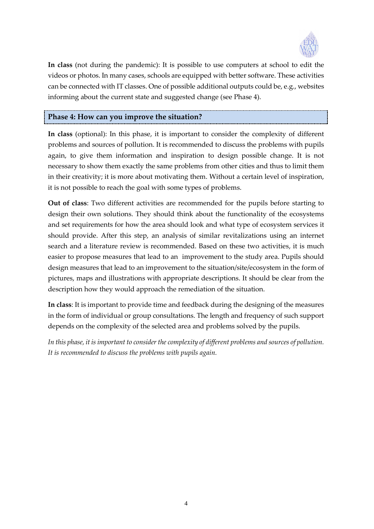

**In class** (not during the pandemic): It is possible to use computers at school to edit the videos or photos. In many cases, schools are equipped with better software. These activities can be connected with IT classes. One of possible additional outputs could be, e.g., websites informing about the current state and suggested change (see Phase 4).

#### <span id="page-7-0"></span>**Phase 4: How can you improve the situation?**

**In class** (optional): In this phase, it is important to consider the complexity of different problems and sources of pollution. It is recommended to discuss the problems with pupils again, to give them information and inspiration to design possible change. It is not necessary to show them exactly the same problems from other cities and thus to limit them in their creativity; it is more about motivating them. Without a certain level of inspiration, it is not possible to reach the goal with some types of problems.

**Out of class**: Two different activities are recommended for the pupils before starting to design their own solutions. They should think about the functionality of the ecosystems and set requirements for how the area should look and what type of ecosystem services it should provide. After this step, an analysis of similar revitalizations using an internet search and a literature review is recommended. Based on these two activities, it is much easier to propose measures that lead to an improvement to the study area. Pupils should design measures that lead to an improvement to the situation/site/ecosystem in the form of pictures, maps and illustrations with appropriate descriptions. It should be clear from the description how they would approach the remediation of the situation.

**In class**: It is important to provide time and feedback during the designing of the measures in the form of individual or group consultations. The length and frequency of such support depends on the complexity of the selected area and problems solved by the pupils.

*In this phase, it is important to consider the complexity of different problems and sources of pollution. It is recommended to discuss the problems with pupils again.*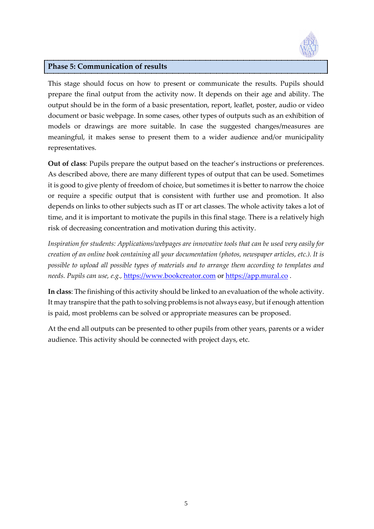

#### <span id="page-8-0"></span>**Phase 5: Communication of results**

This stage should focus on how to present or communicate the results. Pupils should prepare the final output from the activity now. It depends on their age and ability. The output should be in the form of a basic presentation, report, leaflet, poster, audio or video document or basic webpage. In some cases, other types of outputs such as an exhibition of models or drawings are more suitable. In case the suggested changes/measures are meaningful, it makes sense to present them to a wider audience and/or municipality representatives.

**Out of class**: Pupils prepare the output based on the teacher's instructions or preferences. As described above, there are many different types of output that can be used. Sometimes it is good to give plenty of freedom of choice, but sometimes it is better to narrow the choice or require a specific output that is consistent with further use and promotion. It also depends on links to other subjects such as IT or art classes. The whole activity takes a lot of time, and it is important to motivate the pupils in this final stage. There is a relatively high risk of decreasing concentration and motivation during this activity.

*Inspiration for students: Applications/webpages are innovative tools that can be used very easily for creation of an online book containing all your documentation (photos, newspaper articles, etc.). It is possible to upload all possible types of materials and to arrange them according to templates and needs. Pupils can use, e.g.,* [https://www.bookcreator.com](https://www.bookcreator.com/) or [https://app.mural.co](https://app.mural.co/) .

**In class**: The finishing of this activity should be linked to an evaluation of the whole activity. It may transpire that the path to solving problems is not always easy, but if enough attention is paid, most problems can be solved or appropriate measures can be proposed.

At the end all outputs can be presented to other pupils from other years, parents or a wider audience. This activity should be connected with project days, etc.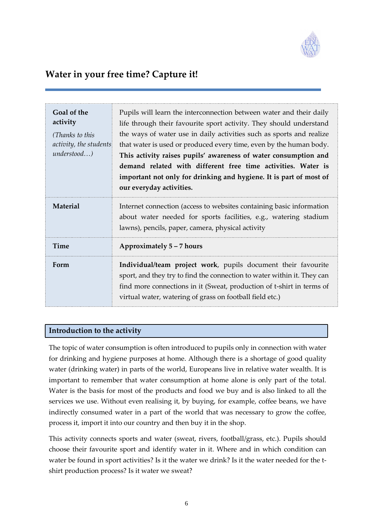

# <span id="page-9-0"></span>**Water in your free time? Capture it!**

| Goal of the<br>activity<br>(Thanks to this<br>activity, the students<br>$understood$ ) | Pupils will learn the interconnection between water and their daily<br>life through their favourite sport activity. They should understand<br>the ways of water use in daily activities such as sports and realize<br>that water is used or produced every time, even by the human body.<br>This activity raises pupils' awareness of water consumption and<br>demand related with different free time activities. Water is<br>important not only for drinking and hygiene. It is part of most of<br>our everyday activities. |  |
|----------------------------------------------------------------------------------------|-------------------------------------------------------------------------------------------------------------------------------------------------------------------------------------------------------------------------------------------------------------------------------------------------------------------------------------------------------------------------------------------------------------------------------------------------------------------------------------------------------------------------------|--|
| Material                                                                               | Internet connection (access to websites containing basic information<br>about water needed for sports facilities, e.g., watering stadium<br>lawns), pencils, paper, camera, physical activity                                                                                                                                                                                                                                                                                                                                 |  |
| <b>Time</b>                                                                            | Approximately 5 - 7 hours                                                                                                                                                                                                                                                                                                                                                                                                                                                                                                     |  |
| Form                                                                                   | Individual/team project work, pupils document their favourite<br>sport, and they try to find the connection to water within it. They can<br>find more connections in it (Sweat, production of t-shirt in terms of<br>virtual water, watering of grass on football field etc.)                                                                                                                                                                                                                                                 |  |

#### <span id="page-9-1"></span>**Introduction to the activity**

The topic of water consumption is often introduced to pupils only in connection with water for drinking and hygiene purposes at home. Although there is a shortage of good quality water (drinking water) in parts of the world, Europeans live in relative water wealth. It is important to remember that water consumption at home alone is only part of the total. Water is the basis for most of the products and food we buy and is also linked to all the services we use. Without even realising it, by buying, for example, coffee beans, we have indirectly consumed water in a part of the world that was necessary to grow the coffee, process it, import it into our country and then buy it in the shop.

This activity connects sports and water (sweat, rivers, football/grass, etc.). Pupils should choose their favourite sport and identify water in it. Where and in which condition can water be found in sport activities? Is it the water we drink? Is it the water needed for the tshirt production process? Is it water we sweat?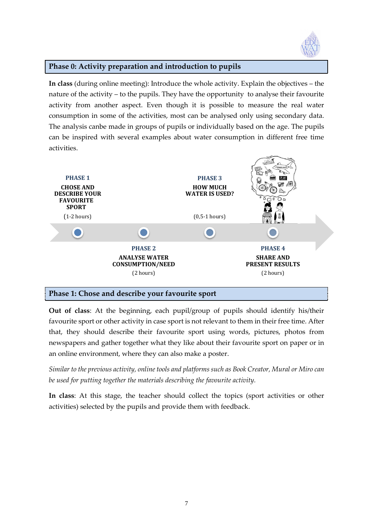

<span id="page-10-0"></span>**In class** (during online meeting): Introduce the whole activity. Explain the objectives – the nature of the activity – to the pupils. They have the opportunity to analyse their favourite activity from another aspect. Even though it is possible to measure the real water consumption in some of the activities, most can be analysed only using secondary data. The analysis canbe made in groups of pupils or individually based on the age. The pupils can be inspired with several examples about water consumption in different free time activities.



## <span id="page-10-1"></span>**Phase 1: Chose and describe your favourite sport**

**Out of class**: At the beginning, each pupil/group of pupils should identify his/their favourite sport or other activity in case sport is not relevant to them in their free time. After that, they should describe their favourite sport using words, pictures, photos from newspapers and gather together what they like about their favourite sport on paper or in an online environment, where they can also make a poster.

*Similar to the previous activity, online tools and platforms such as Book Creator, Mural or Miro can be used for putting together the materials describing the favourite activity.*

**In class**: At this stage, the teacher should collect the topics (sport activities or other activities) selected by the pupils and provide them with feedback.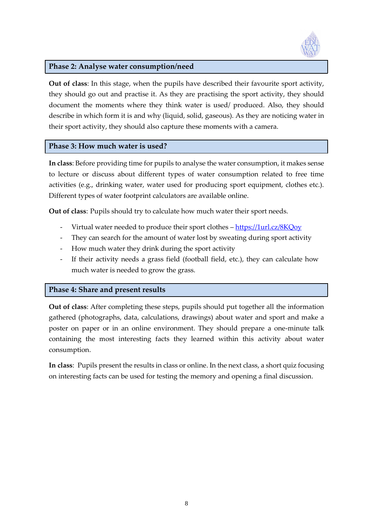

#### <span id="page-11-0"></span>**Phase 2: Analyse water consumption/need**

**Out of class**: In this stage, when the pupils have described their favourite sport activity, they should go out and practise it. As they are practising the sport activity, they should document the moments where they think water is used/ produced. Also, they should describe in which form it is and why (liquid, solid, gaseous). As they are noticing water in their sport activity, they should also capture these moments with a camera.

#### <span id="page-11-1"></span>**Phase 3: How much water is used?**

**In class**: Before providing time for pupils to analyse the water consumption, it makes sense to lecture or discuss about different types of water consumption related to free time activities (e.g., drinking water, water used for producing sport equipment, clothes etc.). Different types of water footprint calculators are available online.

**Out of class**: Pupils should try to calculate how much water their sport needs.

- Virtual water needed to produce their sport clothes https://1url.cz/8KQoy
- They can search for the amount of water lost by sweating during sport activity
- How much water they drink during the sport activity
- If their activity needs a grass field (football field, etc.), they can calculate how much water is needed to grow the grass.

#### <span id="page-11-2"></span>**Phase 4: Share and present results**

**Out of class**: After completing these steps, pupils should put together all the information gathered (photographs, data, calculations, drawings) about water and sport and make a poster on paper or in an online environment. They should prepare a one-minute talk containing the most interesting facts they learned within this activity about water consumption.

**In class**: Pupils present the results in class or online. In the next class, a short quiz focusing on interesting facts can be used for testing the memory and opening a final discussion.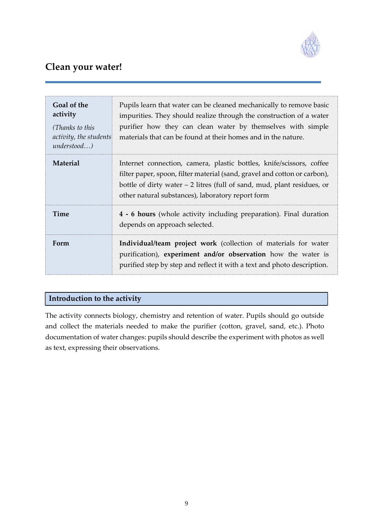

# <span id="page-12-0"></span>**Clean your water!**

| Goal of the<br>activity<br>(Thanks to this<br>activity, the students<br>$understood$ ) | Pupils learn that water can be cleaned mechanically to remove basic<br>impurities. They should realize through the construction of a water<br>purifier how they can clean water by themselves with simple<br>materials that can be found at their homes and in the nature.         |  |
|----------------------------------------------------------------------------------------|------------------------------------------------------------------------------------------------------------------------------------------------------------------------------------------------------------------------------------------------------------------------------------|--|
| Material                                                                               | Internet connection, camera, plastic bottles, knife/scissors, coffee<br>filter paper, spoon, filter material (sand, gravel and cotton or carbon),<br>bottle of dirty water $-2$ litres (full of sand, mud, plant residues, or<br>other natural substances), laboratory report form |  |
| Time                                                                                   | 4 - 6 hours (whole activity including preparation). Final duration<br>depends on approach selected.                                                                                                                                                                                |  |
| Form                                                                                   | Individual/team project work (collection of materials for water<br>purification), experiment and/or observation how the water is<br>purified step by step and reflect it with a text and photo description.                                                                        |  |

## <span id="page-12-1"></span>**Introduction to the activity**

The activity connects biology, chemistry and retention of water. Pupils should go outside and collect the materials needed to make the purifier (cotton, gravel, sand, etc.). Photo documentation of water changes: pupils should describe the experiment with photos as well as text, expressing their observations.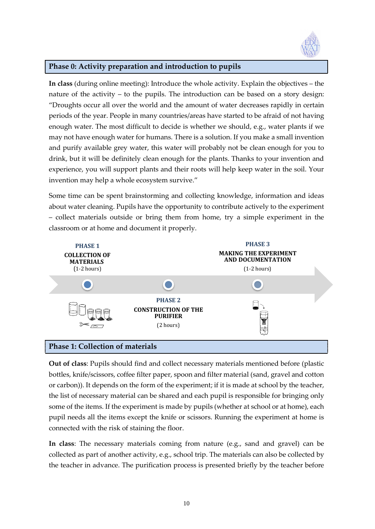

<span id="page-13-0"></span>**In class** (during online meeting): Introduce the whole activity. Explain the objectives – the nature of the activity – to the pupils. The introduction can be based on a story design: "Droughts occur all over the world and the amount of water decreases rapidly in certain periods of the year. People in many countries/areas have started to be afraid of not having enough water. The most difficult to decide is whether we should, e.g., water plants if we may not have enough water for humans. There is a solution. If you make a small invention and purify available grey water, this water will probably not be clean enough for you to drink, but it will be definitely clean enough for the plants. Thanks to your invention and experience, you will support plants and their roots will help keep water in the soil. Your invention may help a whole ecosystem survive."

Some time can be spent brainstorming and collecting knowledge, information and ideas about water cleaning. Pupils have the opportunity to contribute actively to the experiment – collect materials outside or bring them from home, try a simple experiment in the classroom or at home and document it properly.



<span id="page-13-1"></span>**Out of class**: Pupils should find and collect necessary materials mentioned before (plastic bottles, knife/scissors, coffee filter paper, spoon and filter material (sand, gravel and cotton or carbon)). It depends on the form of the experiment; if it is made at school by the teacher, the list of necessary material can be shared and each pupil is responsible for bringing only some of the items. If the experiment is made by pupils (whether at school or at home), each pupil needs all the items except the knife or scissors. Running the experiment at home is connected with the risk of staining the floor.

**In class**: The necessary materials coming from nature (e.g., sand and gravel) can be collected as part of another activity, e.g., school trip. The materials can also be collected by the teacher in advance. The purification process is presented briefly by the teacher before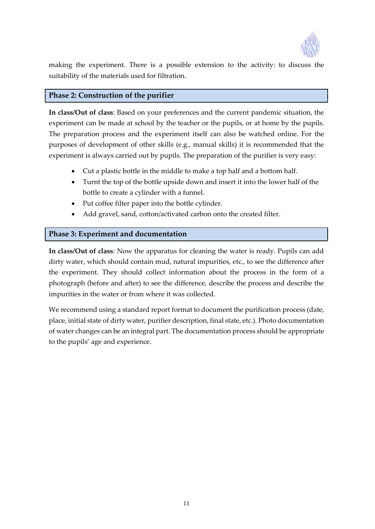

making the experiment. There is a possible extension to the activity: to discuss the suitability of the materials used for filtration.

#### <span id="page-14-0"></span>**Phase 2: Construction of the purifier**

**In class/Out of class**: Based on your preferences and the current pandemic situation, the experiment can be made at school by the teacher or the pupils, or at home by the pupils. The preparation process and the experiment itself can also be watched online. For the purposes of development of other skills (e.g., manual skills) it is recommended that the experiment is always carried out by pupils. The preparation of the purifier is very easy:

- Cut a plastic bottle in the middle to make a top half and a bottom half.
- Turnt the top of the bottle upside down and insert it into the lower half of the bottle to create a cylinder with a funnel.
- Put coffee filter paper into the bottle cylinder.
- Add gravel, sand, cotton/activated carbon onto the created filter.

## <span id="page-14-1"></span>**Phase 3: Experiment and documentation**

**In class/Out of class**: Now the apparatus for cleaning the water is ready. Pupils can add dirty water, which should contain mud, natural impurities, etc., to see the difference after the experiment. They should collect information about the process in the form of a photograph (before and after) to see the difference, describe the process and describe the impurities in the water or from where it was collected.

We recommend using a standard report format to document the purification process (date, place, initial state of dirty water, purifier description, final state, etc.). Photo documentation of water changes can be an integral part. The documentation process should be appropriate to the pupils' age and experience.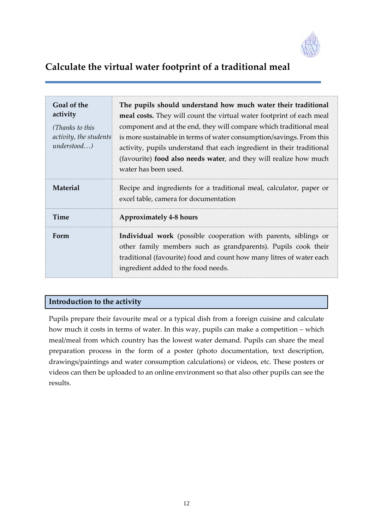

# <span id="page-15-0"></span>**Calculate the virtual water footprint of a traditional meal**

| Goal of the<br>activity<br>(Thanks to this<br>activity, the students<br>$understood$ ) | The pupils should understand how much water their traditional<br>meal costs. They will count the virtual water footprint of each meal<br>component and at the end, they will compare which traditional meal<br>is more sustainable in terms of water consumption/savings. From this<br>activity, pupils understand that each ingredient in their traditional<br>(favourite) food also needs water, and they will realize how much<br>water has been used. |  |
|----------------------------------------------------------------------------------------|-----------------------------------------------------------------------------------------------------------------------------------------------------------------------------------------------------------------------------------------------------------------------------------------------------------------------------------------------------------------------------------------------------------------------------------------------------------|--|
| Material                                                                               | Recipe and ingredients for a traditional meal, calculator, paper or<br>excel table, camera for documentation                                                                                                                                                                                                                                                                                                                                              |  |
| <b>Time</b>                                                                            | <b>Approximately 4-8 hours</b>                                                                                                                                                                                                                                                                                                                                                                                                                            |  |
| Form                                                                                   | Individual work (possible cooperation with parents, siblings or<br>other family members such as grandparents). Pupils cook their<br>traditional (favourite) food and count how many litres of water each<br>ingredient added to the food needs.                                                                                                                                                                                                           |  |

## <span id="page-15-1"></span>**Introduction to the activity**

Pupils prepare their favourite meal or a typical dish from a foreign cuisine and calculate how much it costs in terms of water. In this way, pupils can make a competition – which meal/meal from which country has the lowest water demand. Pupils can share the meal preparation process in the form of a poster (photo documentation, text description, drawings/paintings and water consumption calculations) or videos, etc. These posters or videos can then be uploaded to an online environment so that also other pupils can see the results.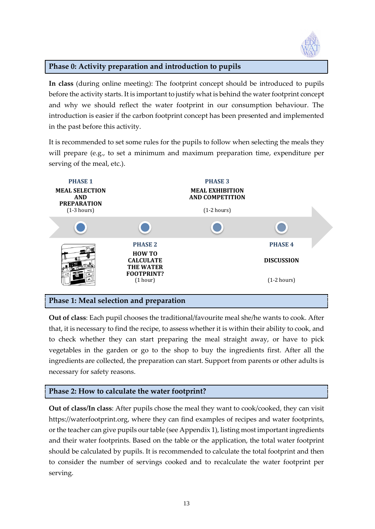

<span id="page-16-0"></span>**In class** (during online meeting): The footprint concept should be introduced to pupils before the activity starts. It is important to justify what is behind the water footprint concept and why we should reflect the water footprint in our consumption behaviour. The introduction is easier if the carbon footprint concept has been presented and implemented in the past before this activity.

It is recommended to set some rules for the pupils to follow when selecting the meals they will prepare (e.g., to set a minimum and maximum preparation time, expenditure per serving of the meal, etc.).



#### <span id="page-16-1"></span>**Phase 1: Meal selection and preparation**

**Out of class**: Each pupil chooses the traditional/favourite meal she/he wants to cook. After that, it is necessary to find the recipe, to assess whether it is within their ability to cook, and to check whether they can start preparing the meal straight away, or have to pick vegetables in the garden or go to the shop to buy the ingredients first. After all the ingredients are collected, the preparation can start. Support from parents or other adults is necessary for safety reasons.

#### <span id="page-16-2"></span>**Phase 2: How to calculate the water footprint?**

**Out of class/In class**: After pupils chose the meal they want to cook/cooked, they can visit https://waterfootprint.org, where they can find examples of recipes and water footprints, or the teacher can give pupils our table (see Appendix 1), listing most important ingredients and their water footprints. Based on the table or the application, the total water footprint should be calculated by pupils. It is recommended to calculate the total footprint and then to consider the number of servings cooked and to recalculate the water footprint per serving.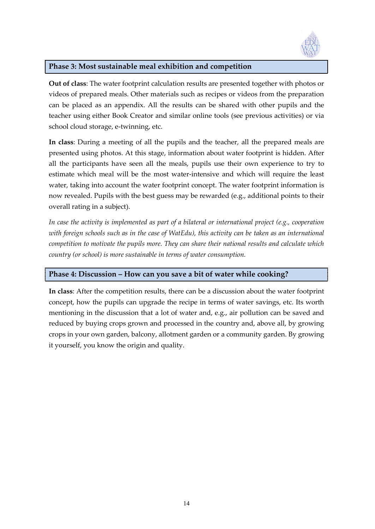

## <span id="page-17-0"></span>**Phase 3: Most sustainable meal exhibition and competition**

**Out of class**: The water footprint calculation results are presented together with photos or videos of prepared meals. Other materials such as recipes or videos from the preparation can be placed as an appendix. All the results can be shared with other pupils and the teacher using either Book Creator and similar online tools (see previous activities) or via school cloud storage, e-twinning, etc.

**In class**: During a meeting of all the pupils and the teacher, all the prepared meals are presented using photos. At this stage, information about water footprint is hidden. After all the participants have seen all the meals, pupils use their own experience to try to estimate which meal will be the most water-intensive and which will require the least water, taking into account the water footprint concept. The water footprint information is now revealed. Pupils with the best guess may be rewarded (e.g., additional points to their overall rating in a subject).

*In case the activity is implemented as part of a bilateral or international project (e.g., cooperation with foreign schools such as in the case of WatEdu), this activity can be taken as an international competition to motivate the pupils more. They can share their national results and calculate which country (or school) is more sustainable in terms of water consumption.*

#### <span id="page-17-1"></span>**Phase 4: Discussion – How can you save a bit of water while cooking?**

**In class**: After the competition results, there can be a discussion about the water footprint concept, how the pupils can upgrade the recipe in terms of water savings, etc. Its worth mentioning in the discussion that a lot of water and, e.g., air pollution can be saved and reduced by buying crops grown and processed in the country and, above all, by growing crops in your own garden, balcony, allotment garden or a community garden. By growing it yourself, you know the origin and quality.